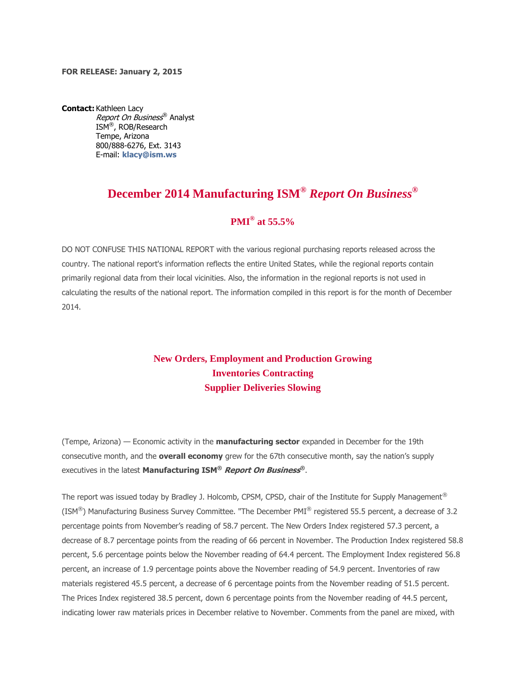#### **FOR RELEASE: January 2, 2015**

**Contact:** Kathleen Lacy *Report On Business®* Analyst ISM®, ROB/Research Tempe, Arizona 800/888-6276, Ext. 3143 E-mail: **[klacy@ism.ws](mailto:klacy@ism.ws)**

# **December 2014 Manufacturing ISM®** *Report On Business***®**

### **PMI® at 55.5%**

DO NOT CONFUSE THIS NATIONAL REPORT with the various regional purchasing reports released across the country. The national report's information reflects the entire United States, while the regional reports contain primarily regional data from their local vicinities. Also, the information in the regional reports is not used in calculating the results of the national report. The information compiled in this report is for the month of December 2014.

# **New Orders, Employment and Production Growing Inventories Contracting Supplier Deliveries Slowing**

(Tempe, Arizona) — Economic activity in the **manufacturing sector** expanded in December for the 19th consecutive month, and the **overall economy** grew for the 67th consecutive month, say the nation's supply executives in the latest **Manufacturing ISM® Report On Business ®**.

The report was issued today by Bradley J. Holcomb, CPSM, CPSD, chair of the Institute for Supply Management® (ISM®) Manufacturing Business Survey Committee. "The December PMI® registered 55.5 percent, a decrease of 3.2 percentage points from November's reading of 58.7 percent. The New Orders Index registered 57.3 percent, a decrease of 8.7 percentage points from the reading of 66 percent in November. The Production Index registered 58.8 percent, 5.6 percentage points below the November reading of 64.4 percent. The Employment Index registered 56.8 percent, an increase of 1.9 percentage points above the November reading of 54.9 percent. Inventories of raw materials registered 45.5 percent, a decrease of 6 percentage points from the November reading of 51.5 percent. The Prices Index registered 38.5 percent, down 6 percentage points from the November reading of 44.5 percent, indicating lower raw materials prices in December relative to November. Comments from the panel are mixed, with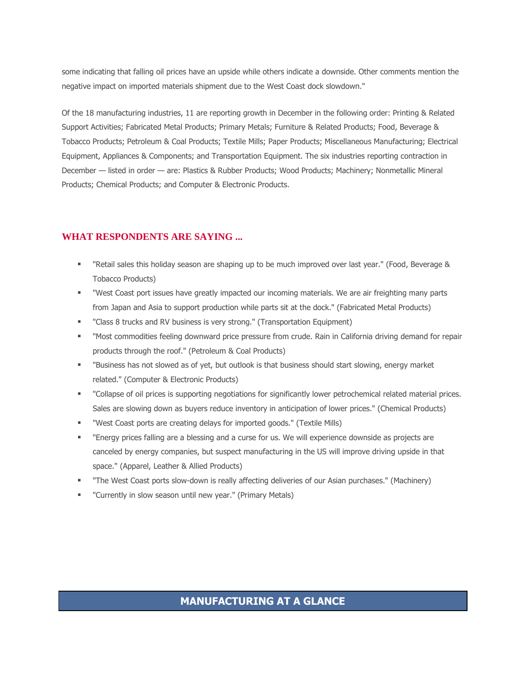some indicating that falling oil prices have an upside while others indicate a downside. Other comments mention the negative impact on imported materials shipment due to the West Coast dock slowdown."

Of the 18 manufacturing industries, 11 are reporting growth in December in the following order: Printing & Related Support Activities; Fabricated Metal Products; Primary Metals; Furniture & Related Products; Food, Beverage & Tobacco Products; Petroleum & Coal Products; Textile Mills; Paper Products; Miscellaneous Manufacturing; Electrical Equipment, Appliances & Components; and Transportation Equipment. The six industries reporting contraction in December — listed in order — are: Plastics & Rubber Products; Wood Products; Machinery; Nonmetallic Mineral Products; Chemical Products; and Computer & Electronic Products.

### **WHAT RESPONDENTS ARE SAYING ...**

- "Retail sales this holiday season are shaping up to be much improved over last year." (Food, Beverage & Tobacco Products)
- "West Coast port issues have greatly impacted our incoming materials. We are air freighting many parts from Japan and Asia to support production while parts sit at the dock." (Fabricated Metal Products)
- "Class 8 trucks and RV business is very strong." (Transportation Equipment)
- "Most commodities feeling downward price pressure from crude. Rain in California driving demand for repair products through the roof." (Petroleum & Coal Products)
- "Business has not slowed as of yet, but outlook is that business should start slowing, energy market related." (Computer & Electronic Products)
- "Collapse of oil prices is supporting negotiations for significantly lower petrochemical related material prices. Sales are slowing down as buyers reduce inventory in anticipation of lower prices." (Chemical Products)
- "West Coast ports are creating delays for imported goods." (Textile Mills)
- "Energy prices falling are a blessing and a curse for us. We will experience downside as projects are canceled by energy companies, but suspect manufacturing in the US will improve driving upside in that space." (Apparel, Leather & Allied Products)
- "The West Coast ports slow-down is really affecting deliveries of our Asian purchases." (Machinery)
- **E** "Currently in slow season until new year." (Primary Metals)

# **MANUFACTURING AT A GLANCE**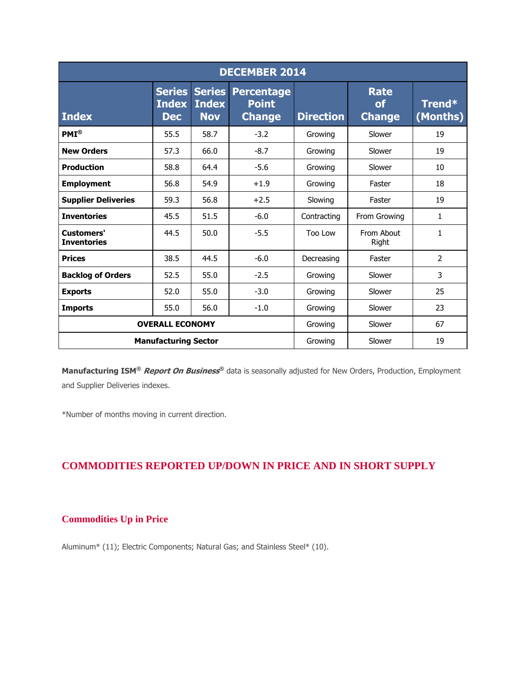|                                  | <b>DECEMBER 2014</b>                        |                                             |                                                    |                  |                                    |                    |  |  |  |
|----------------------------------|---------------------------------------------|---------------------------------------------|----------------------------------------------------|------------------|------------------------------------|--------------------|--|--|--|
| <b>Index</b>                     | <b>Series</b><br><b>Index</b><br><b>Dec</b> | <b>Series</b><br><b>Index</b><br><b>Nov</b> | <b>Percentage</b><br><b>Point</b><br><b>Change</b> | <b>Direction</b> | <b>Rate</b><br>οf<br><b>Change</b> | Trend*<br>(Months) |  |  |  |
| $PMI^{\circledR}$                | 55.5                                        | 58.7                                        | $-3.2$                                             | Growing          | Slower                             | 19                 |  |  |  |
| <b>New Orders</b>                | 57.3                                        | 66.0                                        | $-8.7$                                             | Growing          | Slower                             | 19                 |  |  |  |
| <b>Production</b>                | 58.8                                        | 64.4                                        | $-5.6$                                             | Growing          | Slower                             | 10                 |  |  |  |
| <b>Employment</b>                | 56.8                                        | 54.9                                        | $+1.9$                                             | Growing          | Faster                             | 18                 |  |  |  |
| <b>Supplier Deliveries</b>       | 59.3                                        | 56.8                                        | $+2.5$                                             | Slowing          | Faster                             | 19                 |  |  |  |
| <b>Inventories</b>               | 45.5                                        | 51.5                                        | $-6.0$                                             | Contracting      | From Growing                       | $\mathbf{1}$       |  |  |  |
| Customers'<br><b>Inventories</b> | 44.5                                        | 50.0                                        | $-5.5$                                             | Too Low          | From About<br>Right                | 1                  |  |  |  |
| <b>Prices</b>                    | 38.5                                        | 44.5                                        | $-6.0$                                             | Decreasing       | Faster                             | 2                  |  |  |  |
| <b>Backlog of Orders</b>         | 52.5                                        | 55.0                                        | $-2.5$                                             | Growing          | Slower                             | 3                  |  |  |  |
| <b>Exports</b>                   | 52.0                                        | 55.0                                        | $-3.0$                                             | Growing          | Slower                             | 25                 |  |  |  |
| <b>Imports</b>                   | 55.0                                        | 56.0                                        | $-1.0$                                             | Growing          | Slower                             | 23                 |  |  |  |
|                                  | <b>OVERALL ECONOMY</b>                      | Growing                                     | Slower                                             | 67               |                                    |                    |  |  |  |
|                                  | <b>Manufacturing Sector</b>                 |                                             |                                                    | Growing          | Slower                             | 19                 |  |  |  |

**Manufacturing ISM® Report On Business ®** data is seasonally adjusted for New Orders, Production, Employment and Supplier Deliveries indexes.

\*Number of months moving in current direction.

# **COMMODITIES REPORTED UP/DOWN IN PRICE AND IN SHORT SUPPLY**

### **Commodities Up in Price**

Aluminum\* (11); Electric Components; Natural Gas; and Stainless Steel\* (10).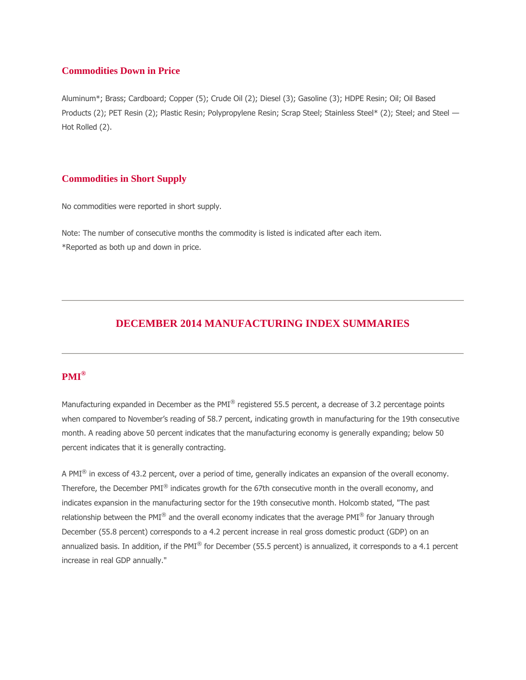#### **Commodities Down in Price**

Aluminum\*; Brass; Cardboard; Copper (5); Crude Oil (2); Diesel (3); Gasoline (3); HDPE Resin; Oil; Oil Based Products (2); PET Resin (2); Plastic Resin; Polypropylene Resin; Scrap Steel; Stainless Steel\* (2); Steel; and Steel — Hot Rolled (2).

#### **Commodities in Short Supply**

No commodities were reported in short supply.

Note: The number of consecutive months the commodity is listed is indicated after each item. \*Reported as both up and down in price.

### **DECEMBER 2014 MANUFACTURING INDEX SUMMARIES**

### **PMI®**

Manufacturing expanded in December as the PMI® registered 55.5 percent, a decrease of 3.2 percentage points when compared to November's reading of 58.7 percent, indicating growth in manufacturing for the 19th consecutive month. A reading above 50 percent indicates that the manufacturing economy is generally expanding; below 50 percent indicates that it is generally contracting.

A PMI<sup>®</sup> in excess of 43.2 percent, over a period of time, generally indicates an expansion of the overall economy. Therefore, the December PMI® indicates growth for the 67th consecutive month in the overall economy, and indicates expansion in the manufacturing sector for the 19th consecutive month. Holcomb stated, "The past relationship between the PMI<sup>®</sup> and the overall economy indicates that the average PMI<sup>®</sup> for January through December (55.8 percent) corresponds to a 4.2 percent increase in real gross domestic product (GDP) on an annualized basis. In addition, if the PMI® for December (55.5 percent) is annualized, it corresponds to a 4.1 percent increase in real GDP annually."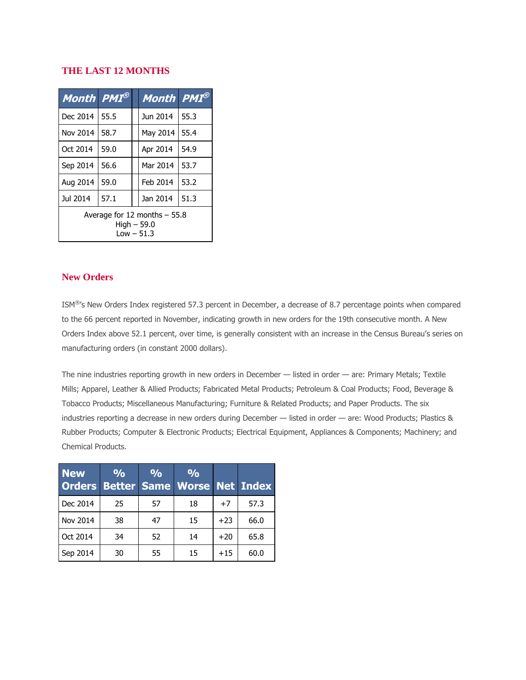#### **THE LAST 12 MONTHS**

| Month PMI®                                                   |      |  | Month PMI® |      |  |  |
|--------------------------------------------------------------|------|--|------------|------|--|--|
| Dec 2014                                                     | 55.5 |  | Jun 2014   | 55.3 |  |  |
| Nov 2014                                                     | 58.7 |  | May 2014   | 55.4 |  |  |
| Oct 2014                                                     | 59.0 |  | Apr 2014   | 54.9 |  |  |
| Sep 2014                                                     | 56.6 |  | Mar 2014   | 53.7 |  |  |
| Aug 2014                                                     | 59.0 |  | Feb 2014   | 53.2 |  |  |
| Jul 2014                                                     | 57.1 |  | Jan 2014   | 51.3 |  |  |
| Average for 12 months $-55.8$<br>High – 59.0<br>$Low - 51.3$ |      |  |            |      |  |  |

#### **New Orders**

ISM®'s New Orders Index registered 57.3 percent in December, a decrease of 8.7 percentage points when compared to the 66 percent reported in November, indicating growth in new orders for the 19th consecutive month. A New Orders Index above 52.1 percent, over time, is generally consistent with an increase in the Census Bureau's series on manufacturing orders (in constant 2000 dollars).

The nine industries reporting growth in new orders in December — listed in order — are: Primary Metals; Textile Mills; Apparel, Leather & Allied Products; Fabricated Metal Products; Petroleum & Coal Products; Food, Beverage & Tobacco Products; Miscellaneous Manufacturing; Furniture & Related Products; and Paper Products. The six industries reporting a decrease in new orders during December — listed in order — are: Wood Products; Plastics & Rubber Products; Computer & Electronic Products; Electrical Equipment, Appliances & Components; Machinery; and Chemical Products.

| <b>New</b><br><b>Orders Better Same Worse Net Index</b> | $\frac{0}{0}$ | $\frac{0}{0}$ | $\frac{O}{O}$ |       |      |
|---------------------------------------------------------|---------------|---------------|---------------|-------|------|
| Dec 2014                                                | 25            | 57            | 18            | $+7$  | 57.3 |
| Nov 2014                                                | 38            | 47            | 15            | $+23$ | 66.0 |
| Oct 2014                                                | 34            | 52            | 14            | $+20$ | 65.8 |
| Sep 2014                                                | 30            | 55            | 15            | $+15$ | 60.0 |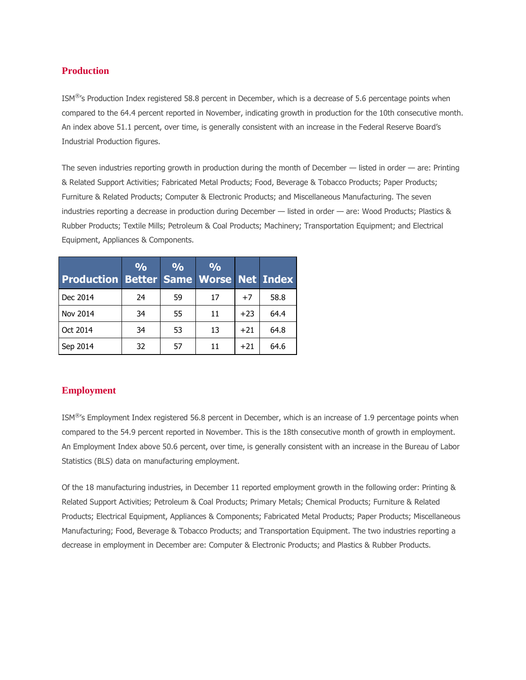#### **Production**

ISM<sup>®</sup>'s Production Index registered 58.8 percent in December, which is a decrease of 5.6 percentage points when compared to the 64.4 percent reported in November, indicating growth in production for the 10th consecutive month. An index above 51.1 percent, over time, is generally consistent with an increase in the Federal Reserve Board's Industrial Production figures.

The seven industries reporting growth in production during the month of December  $-$  listed in order  $-$  are: Printing & Related Support Activities; Fabricated Metal Products; Food, Beverage & Tobacco Products; Paper Products; Furniture & Related Products; Computer & Electronic Products; and Miscellaneous Manufacturing. The seven industries reporting a decrease in production during December — listed in order — are: Wood Products; Plastics & Rubber Products; Textile Mills; Petroleum & Coal Products; Machinery; Transportation Equipment; and Electrical Equipment, Appliances & Components.

| <b>Production Better Same Worse Net Index</b> | $\frac{0}{0}$ | $\frac{0}{0}$ | $\frac{0}{0}$ |       |      |
|-----------------------------------------------|---------------|---------------|---------------|-------|------|
| Dec 2014                                      | 24            | 59            | 17            | $+7$  | 58.8 |
| Nov 2014                                      | 34            | 55            | 11            | $+23$ | 64.4 |
| Oct 2014                                      | 34            | 53            | 13            | $+21$ | 64.8 |
| Sep 2014                                      | 32            | 57            | 11            | $+21$ | 64.6 |

### **Employment**

 $ISM^{\circledR}$ 's Employment Index registered 56.8 percent in December, which is an increase of 1.9 percentage points when compared to the 54.9 percent reported in November. This is the 18th consecutive month of growth in employment. An Employment Index above 50.6 percent, over time, is generally consistent with an increase in the Bureau of Labor Statistics (BLS) data on manufacturing employment.

Of the 18 manufacturing industries, in December 11 reported employment growth in the following order: Printing & Related Support Activities; Petroleum & Coal Products; Primary Metals; Chemical Products; Furniture & Related Products; Electrical Equipment, Appliances & Components; Fabricated Metal Products; Paper Products; Miscellaneous Manufacturing; Food, Beverage & Tobacco Products; and Transportation Equipment. The two industries reporting a decrease in employment in December are: Computer & Electronic Products; and Plastics & Rubber Products.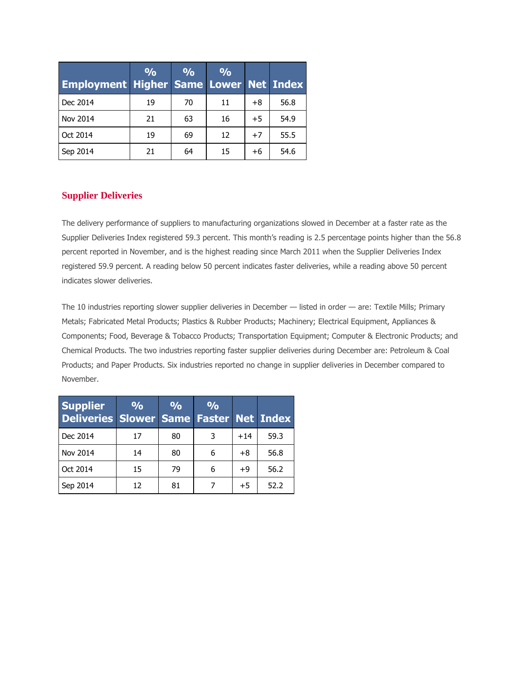| <b>Employment Higher Same Lower Net Index</b> | 9/6 | $\frac{0}{0}$ | $\frac{0}{0}$ |      |      |
|-----------------------------------------------|-----|---------------|---------------|------|------|
| Dec 2014                                      | 19  | 70            | 11            | $+8$ | 56.8 |
| <b>Nov 2014</b>                               | 21  | 63            | 16            | $+5$ | 54.9 |
| Oct 2014                                      | 19  | 69            | 12            | $+7$ | 55.5 |
| Sep 2014                                      | 21  | 64            | 15            | +6   | 54.6 |

### **Supplier Deliveries**

The delivery performance of suppliers to manufacturing organizations slowed in December at a faster rate as the Supplier Deliveries Index registered 59.3 percent. This month's reading is 2.5 percentage points higher than the 56.8 percent reported in November, and is the highest reading since March 2011 when the Supplier Deliveries Index registered 59.9 percent. A reading below 50 percent indicates faster deliveries, while a reading above 50 percent indicates slower deliveries.

The 10 industries reporting slower supplier deliveries in December — listed in order — are: Textile Mills; Primary Metals; Fabricated Metal Products; Plastics & Rubber Products; Machinery; Electrical Equipment, Appliances & Components; Food, Beverage & Tobacco Products; Transportation Equipment; Computer & Electronic Products; and Chemical Products. The two industries reporting faster supplier deliveries during December are: Petroleum & Coal Products; and Paper Products. Six industries reported no change in supplier deliveries in December compared to November.

| Supplier<br>Deliveries Slower Same Faster Net Index | $\frac{1}{2}$ | $\frac{0}{0}$ | $\frac{0}{0}$ |       |      |
|-----------------------------------------------------|---------------|---------------|---------------|-------|------|
| Dec 2014                                            | 17            | 80            | 3             | $+14$ | 59.3 |
| Nov 2014                                            | 14            | 80            | 6             | $+8$  | 56.8 |
| Oct 2014                                            | 15            | 79            | 6             | $+9$  | 56.2 |
| Sep 2014                                            | 12            | 81            |               | $+5$  | 52.2 |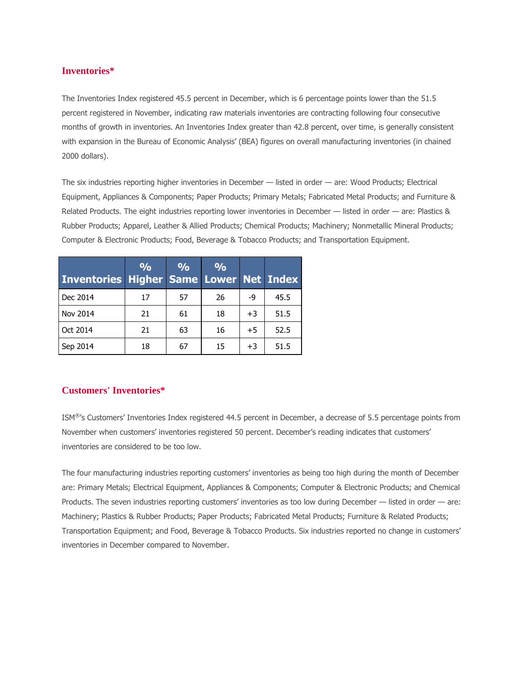#### **Inventories\***

The Inventories Index registered 45.5 percent in December, which is 6 percentage points lower than the 51.5 percent registered in November, indicating raw materials inventories are contracting following four consecutive months of growth in inventories. An Inventories Index greater than 42.8 percent, over time, is generally consistent with expansion in the Bureau of Economic Analysis' (BEA) figures on overall manufacturing inventories (in chained 2000 dollars).

The six industries reporting higher inventories in December — listed in order — are: Wood Products; Electrical Equipment, Appliances & Components; Paper Products; Primary Metals; Fabricated Metal Products; and Furniture & Related Products. The eight industries reporting lower inventories in December — listed in order — are: Plastics & Rubber Products; Apparel, Leather & Allied Products; Chemical Products; Machinery; Nonmetallic Mineral Products; Computer & Electronic Products; Food, Beverage & Tobacco Products; and Transportation Equipment.

| <b>Inventories Higher Same Lower Net Index</b> | $\frac{0}{0}$ | $\frac{0}{0}$ | $\frac{0}{0}$ |      |      |
|------------------------------------------------|---------------|---------------|---------------|------|------|
| Dec 2014                                       | 17            | 57            | 26            | -9   | 45.5 |
| Nov 2014                                       | 21            | 61            | 18            | $+3$ | 51.5 |
| Oct 2014                                       | 21            | 63            | 16            | $+5$ | 52.5 |
| Sep 2014                                       | 18            | 67            | 15            | $+3$ | 51.5 |

#### **Customers' Inventories\***

ISM<sup>®</sup>'s Customers' Inventories Index registered 44.5 percent in December, a decrease of 5.5 percentage points from November when customers' inventories registered 50 percent. December's reading indicates that customers' inventories are considered to be too low.

The four manufacturing industries reporting customers' inventories as being too high during the month of December are: Primary Metals; Electrical Equipment, Appliances & Components; Computer & Electronic Products; and Chemical Products. The seven industries reporting customers' inventories as too low during December — listed in order — are: Machinery; Plastics & Rubber Products; Paper Products; Fabricated Metal Products; Furniture & Related Products; Transportation Equipment; and Food, Beverage & Tobacco Products. Six industries reported no change in customers' inventories in December compared to November.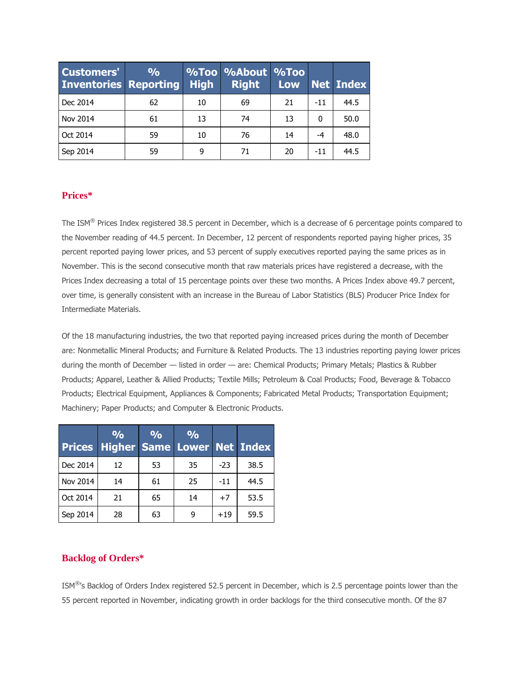| Customers'<br><b>Inventories Reporting</b> | $\frac{0}{0}$ | <b>High</b> | <b>WoToo WoAbout WoToo</b><br><b>Right</b> | <b>Low</b> |       | Net Index |
|--------------------------------------------|---------------|-------------|--------------------------------------------|------------|-------|-----------|
| Dec 2014                                   | 62            | 10          | 69                                         | 21         | $-11$ | 44.5      |
| Nov 2014                                   | 61            | 13          | 74                                         | 13         | O     | 50.0      |
| Oct 2014                                   | 59            | 10          | 76                                         | 14         | -4    | 48.0      |
| Sep 2014                                   | 59            | 9           | 71                                         | 20         | $-11$ | 44.5      |

#### **Prices\***

The ISM® Prices Index registered 38.5 percent in December, which is a decrease of 6 percentage points compared to the November reading of 44.5 percent. In December, 12 percent of respondents reported paying higher prices, 35 percent reported paying lower prices, and 53 percent of supply executives reported paying the same prices as in November. This is the second consecutive month that raw materials prices have registered a decrease, with the Prices Index decreasing a total of 15 percentage points over these two months. A Prices Index above 49.7 percent, over time, is generally consistent with an increase in the Bureau of Labor Statistics (BLS) Producer Price Index for Intermediate Materials.

Of the 18 manufacturing industries, the two that reported paying increased prices during the month of December are: Nonmetallic Mineral Products; and Furniture & Related Products. The 13 industries reporting paying lower prices during the month of December — listed in order — are: Chemical Products; Primary Metals; Plastics & Rubber Products; Apparel, Leather & Allied Products; Textile Mills; Petroleum & Coal Products; Food, Beverage & Tobacco Products; Electrical Equipment, Appliances & Components; Fabricated Metal Products; Transportation Equipment; Machinery; Paper Products; and Computer & Electronic Products.

|          | $\frac{0}{0}$<br><b>Prices Higher Same Lower Net Index</b> | $\frac{0}{0}$ | $\frac{0}{0}$ |       |      |
|----------|------------------------------------------------------------|---------------|---------------|-------|------|
| Dec 2014 | 12                                                         | 53            | 35            | $-23$ | 38.5 |
|          |                                                            |               |               |       |      |
| Nov 2014 | 14                                                         | 61            | 25            | $-11$ | 44.5 |
| Oct 2014 | 21                                                         | 65            | 14            | $+7$  | 53.5 |
| Sep 2014 | 28                                                         | 63            | 9             | $+19$ | 59.5 |

#### **Backlog of Orders\***

ISM<sup>®</sup>'s Backlog of Orders Index registered 52.5 percent in December, which is 2.5 percentage points lower than the 55 percent reported in November, indicating growth in order backlogs for the third consecutive month. Of the 87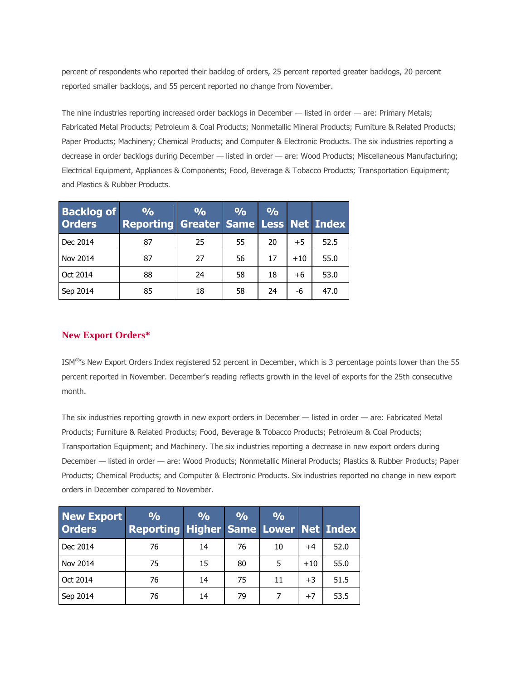percent of respondents who reported their backlog of orders, 25 percent reported greater backlogs, 20 percent reported smaller backlogs, and 55 percent reported no change from November.

The nine industries reporting increased order backlogs in December — listed in order — are: Primary Metals; Fabricated Metal Products; Petroleum & Coal Products; Nonmetallic Mineral Products; Furniture & Related Products; Paper Products; Machinery; Chemical Products; and Computer & Electronic Products. The six industries reporting a decrease in order backlogs during December — listed in order — are: Wood Products; Miscellaneous Manufacturing; Electrical Equipment, Appliances & Components; Food, Beverage & Tobacco Products; Transportation Equipment; and Plastics & Rubber Products.

| <b>Backlog of</b><br><b>Orders</b> | 9/6/<br><b>Reporting Greater Same Less Net Index</b> | $\frac{0}{0}$ | $\frac{O}{O}$ | $\frac{O}{O}$ |       |      |
|------------------------------------|------------------------------------------------------|---------------|---------------|---------------|-------|------|
| Dec 2014                           | 87                                                   | 25            | 55            | 20            | $+5$  | 52.5 |
| Nov 2014                           | 87                                                   | 27            | 56            | 17            | $+10$ | 55.0 |
| Oct 2014                           | 88                                                   | 24            | 58            | 18            | $+6$  | 53.0 |
| Sep 2014                           | 85                                                   | 18            | 58            | 24            | -6    | 47.0 |

#### **New Export Orders\***

 $ISM^{\circledR}$ 's New Export Orders Index registered 52 percent in December, which is 3 percentage points lower than the 55 percent reported in November. December's reading reflects growth in the level of exports for the 25th consecutive month.

The six industries reporting growth in new export orders in December — listed in order — are: Fabricated Metal Products; Furniture & Related Products; Food, Beverage & Tobacco Products; Petroleum & Coal Products; Transportation Equipment; and Machinery. The six industries reporting a decrease in new export orders during December — listed in order — are: Wood Products; Nonmetallic Mineral Products; Plastics & Rubber Products; Paper Products; Chemical Products; and Computer & Electronic Products. Six industries reported no change in new export orders in December compared to November.

| <b>New Export</b><br><b>Orders</b> | $\frac{1}{2}$<br><b>Reporting Higher Same Lower Net Index</b> | $\frac{0}{0}$ | $\frac{0}{0}$ | $\frac{O}{O}$ |       |      |
|------------------------------------|---------------------------------------------------------------|---------------|---------------|---------------|-------|------|
| Dec 2014                           | 76                                                            | 14            | 76            | 10            | $+4$  | 52.0 |
| Nov 2014                           | 75                                                            | 15            | 80            | .5            | $+10$ | 55.0 |
| Oct 2014                           | 76                                                            | 14            | 75            | 11            | $+3$  | 51.5 |
| Sep 2014                           | 76                                                            | 14            | 79            |               | $+7$  | 53.5 |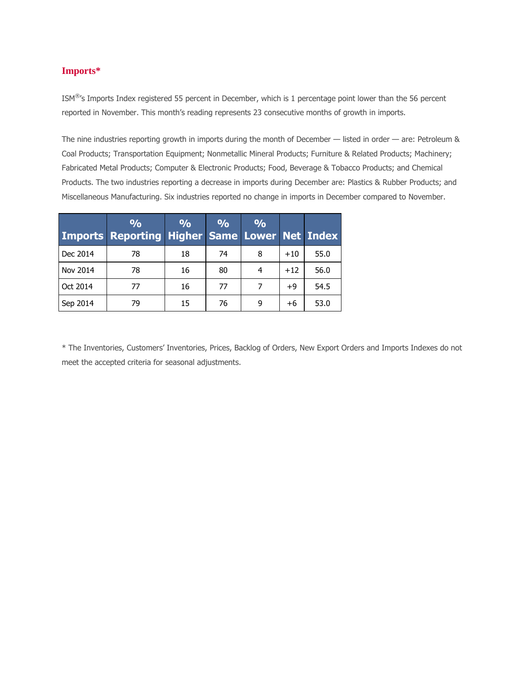#### **Imports\***

ISM®'s Imports Index registered 55 percent in December, which is 1 percentage point lower than the 56 percent reported in November. This month's reading represents 23 consecutive months of growth in imports.

The nine industries reporting growth in imports during the month of December — listed in order — are: Petroleum & Coal Products; Transportation Equipment; Nonmetallic Mineral Products; Furniture & Related Products; Machinery; Fabricated Metal Products; Computer & Electronic Products; Food, Beverage & Tobacco Products; and Chemical Products. The two industries reporting a decrease in imports during December are: Plastics & Rubber Products; and Miscellaneous Manufacturing. Six industries reported no change in imports in December compared to November.

|          | $\frac{0}{0}$<br><b>Imports Reporting Higher Same Lower Net Index</b> | $\overline{\frac{9}{0}}$ | $\frac{0}{0}$ | $\frac{0}{0}$ |       |      |
|----------|-----------------------------------------------------------------------|--------------------------|---------------|---------------|-------|------|
| Dec 2014 | 78                                                                    | 18                       | 74            | 8             | $+10$ | 55.0 |
| Nov 2014 | 78                                                                    | 16                       | 80            | 4             | $+12$ | 56.0 |
| Oct 2014 | 77                                                                    | 16                       | 77            | 7             | $+9$  | 54.5 |
| Sep 2014 | 79                                                                    | 15                       | 76            | 9             | $+6$  | 53.0 |

\* The Inventories, Customers' Inventories, Prices, Backlog of Orders, New Export Orders and Imports Indexes do not meet the accepted criteria for seasonal adjustments.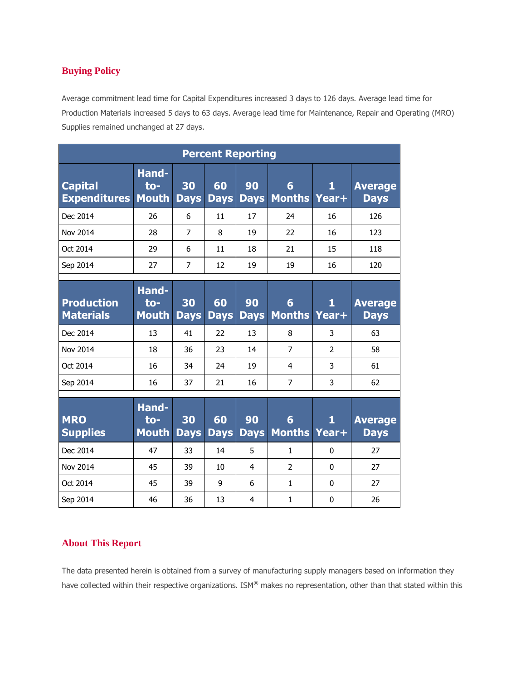### **Buying Policy**

Average commitment lead time for Capital Expenditures increased 3 days to 126 days. Average lead time for Production Materials increased 5 days to 63 days. Average lead time for Maintenance, Repair and Operating (MRO) Supplies remained unchanged at 27 days.

| <b>Percent Reporting</b>              |                              |                   |                   |                   |                                  |               |                               |
|---------------------------------------|------------------------------|-------------------|-------------------|-------------------|----------------------------------|---------------|-------------------------------|
| <b>Capital</b><br><b>Expenditures</b> | Hand-<br>to-<br><b>Mouth</b> | 30<br><b>Days</b> | 60<br><b>Days</b> | 90<br><b>Days</b> | $6\phantom{1}6$<br><b>Months</b> | 1<br>Year+    | <b>Average</b><br><b>Days</b> |
| Dec 2014                              | 26                           | 6                 | 11                | 17                | 24                               | 16            | 126                           |
| <b>Nov 2014</b>                       | 28                           | 7                 | 8                 | 19                | 22                               | 16            | 123                           |
| Oct 2014                              | 29                           | 6                 | 11                | 18                | 21                               | 15            | 118                           |
| Sep 2014                              | 27                           | $\overline{7}$    | 12                | 19                | 19                               | 16            | 120                           |
| <b>Production</b><br><b>Materials</b> | Hand-<br>to-<br><b>Mouth</b> | 30<br><b>Days</b> | 60<br><b>Days</b> | 90<br><b>Days</b> | $6\phantom{1}6$<br><b>Months</b> | 1<br>Year+    | <b>Average</b><br><b>Days</b> |
| Dec 2014                              | 13                           | 41                | 22                | 13                | 8                                | 3             | 63                            |
| <b>Nov 2014</b>                       | 18                           | 36                | 23                | 14                | $\overline{7}$                   | $\mathcal{P}$ | 58                            |
| Oct 2014                              | 16                           | 34                | 24                | 19                | 4                                | 3             | 61                            |
| Sep 2014                              | 16                           | 37                | 21                | 16                | 7                                | 3             | 62                            |
| <b>MRO</b><br><b>Supplies</b>         | Hand-<br>to-<br><b>Mouth</b> | 30<br><b>Days</b> | 60<br><b>Days</b> | 90<br><b>Days</b> | 6<br><b>Months</b>               | 1<br>Year+    | <b>Average</b><br><b>Days</b> |
| Dec 2014                              | 47                           | 33                | 14                | 5                 | $\mathbf{1}$                     | $\Omega$      | 27                            |
| <b>Nov 2014</b>                       | 45                           | 39                | 10                | 4                 | $\mathfrak{p}$                   | $\Omega$      | 27                            |
| Oct 2014                              | 45                           | 39                | 9                 | 6                 | $\mathbf{1}$                     | $\mathbf 0$   | 27                            |
| Sep 2014                              | 46                           | 36                | 13                | 4                 | $\mathbf{1}$                     | $\mathbf 0$   | 26                            |

### **About This Report**

The data presented herein is obtained from a survey of manufacturing supply managers based on information they have collected within their respective organizations. ISM® makes no representation, other than that stated within this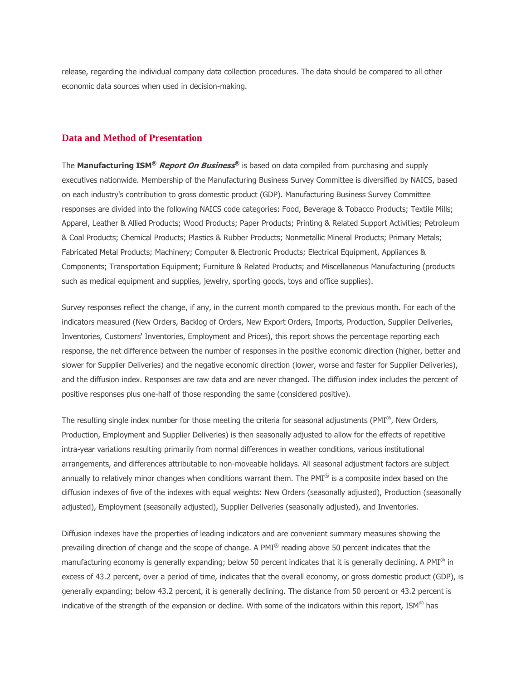release, regarding the individual company data collection procedures. The data should be compared to all other economic data sources when used in decision-making.

#### **Data and Method of Presentation**

The **Manufacturing ISM® Report On Business ®** is based on data compiled from purchasing and supply executives nationwide. Membership of the Manufacturing Business Survey Committee is diversified by NAICS, based on each industry's contribution to gross domestic product (GDP). Manufacturing Business Survey Committee responses are divided into the following NAICS code categories: Food, Beverage & Tobacco Products; Textile Mills; Apparel, Leather & Allied Products; Wood Products; Paper Products; Printing & Related Support Activities; Petroleum & Coal Products; Chemical Products; Plastics & Rubber Products; Nonmetallic Mineral Products; Primary Metals; Fabricated Metal Products; Machinery; Computer & Electronic Products; Electrical Equipment, Appliances & Components; Transportation Equipment; Furniture & Related Products; and Miscellaneous Manufacturing (products such as medical equipment and supplies, jewelry, sporting goods, toys and office supplies).

Survey responses reflect the change, if any, in the current month compared to the previous month. For each of the indicators measured (New Orders, Backlog of Orders, New Export Orders, Imports, Production, Supplier Deliveries, Inventories, Customers' Inventories, Employment and Prices), this report shows the percentage reporting each response, the net difference between the number of responses in the positive economic direction (higher, better and slower for Supplier Deliveries) and the negative economic direction (lower, worse and faster for Supplier Deliveries), and the diffusion index. Responses are raw data and are never changed. The diffusion index includes the percent of positive responses plus one-half of those responding the same (considered positive).

The resulting single index number for those meeting the criteria for seasonal adjustments (PMI®, New Orders, Production, Employment and Supplier Deliveries) is then seasonally adjusted to allow for the effects of repetitive intra-year variations resulting primarily from normal differences in weather conditions, various institutional arrangements, and differences attributable to non-moveable holidays. All seasonal adjustment factors are subject annually to relatively minor changes when conditions warrant them. The PMI<sup>®</sup> is a composite index based on the diffusion indexes of five of the indexes with equal weights: New Orders (seasonally adjusted), Production (seasonally adjusted), Employment (seasonally adjusted), Supplier Deliveries (seasonally adjusted), and Inventories.

Diffusion indexes have the properties of leading indicators and are convenient summary measures showing the prevailing direction of change and the scope of change. A PMI® reading above 50 percent indicates that the manufacturing economy is generally expanding; below 50 percent indicates that it is generally declining. A PMI<sup>®</sup> in excess of 43.2 percent, over a period of time, indicates that the overall economy, or gross domestic product (GDP), is generally expanding; below 43.2 percent, it is generally declining. The distance from 50 percent or 43.2 percent is indicative of the strength of the expansion or decline. With some of the indicators within this report, ISM<sup>®</sup> has